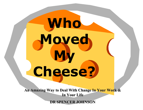An Amazing Way to Deal With Change In Your Work & **In Your Life In Your Life**

**Who** 

**Moved** 

**Cheese?**

**My** 

**DR SPENCER JOHNSON DR SPENCER JOHNSON**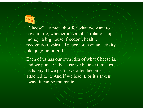

"Cheese" – a metaphor for what we want to have in life, whether it is a job, a relationship, money, a big house, freedom, health, recognition, spiritual peace, or even an activity like jogging or golf.

Each of us has our own idea of what Cheese is, and we pursue it because we believe it makes us happy. If we get it, we often become attached to it. And if we lose it, or it's taken away, it can be traumatic.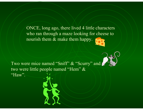ONCE, long ago, there lived 4 little characters who ran through a maze looking for cheese to nourish them & make them happy.

Two were mice named "Sniff" & "Scurry" and two were little people named "Hem" & "Haw".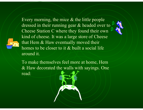Every morning, the mice & the little people dressed in their running gear & headed over to Cheese Station C where they found their own kind of cheese. It was a large store of Cheese that Hem & Haw eventually moved their homes to be closer to it & built a social life around it.

To make themselves feel more at home, Hem & Haw decorated the walls with sayings. One read: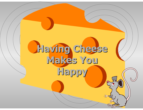# **Having Cheese Having Cheese Makes You Makes You Happy**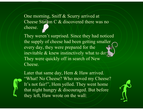One morning, Sniff & Scurry arrived at Cheese Station C & discovered there was no cheese.

They weren't surprised. Since they had noticed the supply of cheese had been getting smaller every day, they were prepared for the inevitable & knew instinctively what to do. They were quickly off in search of New Cheese.



Later that same day, Hem & Haw arrived. "What! No Cheese? Who moved my Cheese? It's not fair!", Hem yelled. They went home that night hungry & discouraged. But before they left, Haw wrote on the wall:

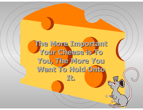# **The More Important The More Important Your Cheese is To Your Cheese is To You, The More You You, The More You**  Want To Hold Onto

**It.**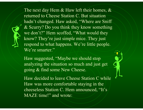The next day Hem & Haw left their homes, & returned to Cheese Station C. But situation hadn't changed. Haw asked, "Where are Sniff" & Scurry? Do you think they know something we don't?" Hem scoffed, "What would they know? They're just simple mice. They just respond to what happens. We're little people. We're smarter."

Haw suggested, "Maybe we should stop analyzing the situation so much and just get going & find some New Cheese.

Haw decided to leave Cheese Station C while Haw was more comfortable staying in the cheeseless Station C. Hem announced, "It's MAZE time!" and wrote: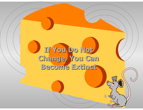# **If You Do Not If You Do Not**  Change, You Can **Become Extinct Become Extinct**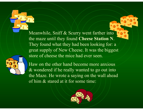Meanwhile, Sniff & Scurry went farther into the maze until they found **Cheese Station N**. They found what they had been looking for: a great supply of New Cheese. It was the biggest store of cheese the mice had ever seen.

Haw on the other hand become more anxious & wondered if he really wanted to go out into the Maze. He wrote a saying on the wall ahead of him & stared at it for some time:

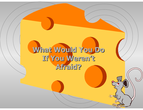### What Would You Do **If You Weren't If You Weren't Afraid? Afraid?**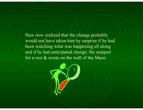Haw now realized that the change probably would not have taken him by surprise if he had been watching what was happening all along and if he had anticipated change. He stopped for a rest & wrote on the wall of the Maze: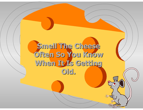### Smell The Cheese **Often So You Know Often So You Know When It Is Getting When It Is Getting Old.**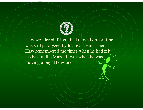

Haw wondered if Hem had moved on, or if he was still paralyzed by his own fears. Then, Haw remembered the times when he had felt his best in the Maze. It was when he was moving along. He wrote: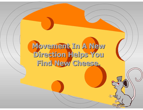#### Movement In A New **Direction Helps You Direction Helps You Find New Cheese. Find New Cheese.**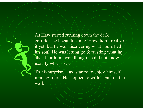As Haw started running down the dark corridor, he began to smile. Haw didn't realize it yet, but he was discovering what nourished his soul. He was letting go & trusting what lay ahead for him, even though he did not know exactly what it was.

To his surprise, Haw started to enjoy himself more & more. He stopped to write again on the wall: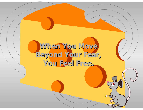#### When You Move **Beyond Your Fear, Beyond Your Fear, You Feel Free. You Feel Free.**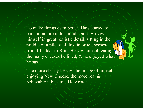To make things even better, Haw started to paint a picture in his mind again. He saw himself in great realistic detail, sitting in the middle of a pile of all his favorite cheesesfrom Cheddar to Brie! He saw himself eating the many cheeses he liked, & he enjoyed what he saw.

The more clearly he saw the image of himself enjoying New Cheese, the more real & believable it became. He wrote: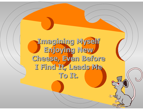#### **Imagining Myself Imagining Myself Enjoying New Enjoying New Cheese, Even Before Cheese, Even Before I Find It, Leads Me I Find It, Leads Me To It.**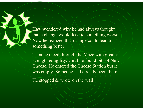Haw wondered why he had always thought that a change would lead to something worse. Now he realized that change could lead to something better.

Then he raced through the Maze with greater strength & agility. Until he found bits of New Cheese. He entered the Cheese Station but it was empty. Someone had already been there.

He stopped  $\&$  wrote on the wall: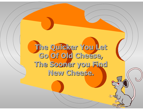**The Quicker You Let The Quicker You Let Go Of Old Cheese, Go Of Old Cheese, The Sooner you Find The Sooner you Find New Cheese. New Cheese.**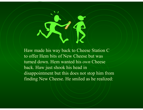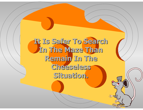**It Is Safer To Search It Is Safer To Search In The Maze Than Remain In The Remain In The Cheeseless Cheeseless Situation. Situation.**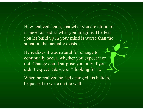Haw realized again, that what you are afraid of is never as bad as what you imagine. The fear you let build up in your mind is worse than the situation that actually exists.

He realizes it was natural for change to continually occur, whether you expect it or not. Change could surprise you only if you didn't expect it & weren't looking for it.

When he realized he had changed his beliefs, he paused to write on the wall: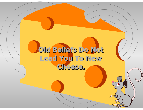### Old Beliefs Do Not **Lead You To New Lead You To New Cheese. Cheese.**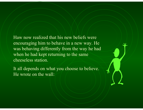Haw now realized that his new beliefs were encouraging him to behave in a new way. He was behaving differently from the way he had when he had kept returning to the same cheeseless station.

It all depends on what you choose to believe. He wrote on the wall: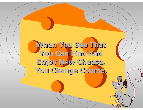**When You See That When You See That You Can Find And You Can Find And Enjoy New Cheese, Enjoy New Cheese, You Change Course. You Change Course.**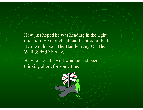Haw just hoped he was heading in the right direction. He thought about the possibility that Hem would read The Handwriting On The Wall & find his way.

He wrote on the wall what he had been thinking about for some time:

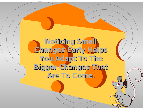**Noticing Small Noticing Small Changes Early Helps Changes Early Helps You Adapt To The You Adapt To The Bigger Changes That Bigger Changes That Are To Come. Are To Come.**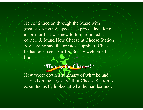He continued on through the Maze with greater strength & speed. He proceeded along a corridor that was new to him, rounded a corner, & found New Cheese at Cheese Station N where he saw the greatest supply of Cheese he had ever seen.Sniff & Scurry welcomed him.

**"Hooray for Change!" "Hooray for Change!"**

Haw wrote down a summary of what he had learned on the largest wall of Cheese Station N & smiled as he looked at what he had learned: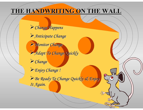#### **THE HANDWRITING ON THE WALL THE HANDWRITING ON THE WALL**

*Change Happens Change Happens Anticipate Change Anticipate Change Monitor Change Monitor Change Adapt To Change Quickly Adapt To Change Quickly Change Enjoy Change ! Enjoy Change ! Be Ready To Change Quickly & Enjoy Be Ready To Change Quickly & Enjoy It Again. It Again.*

 $\bigcirc$